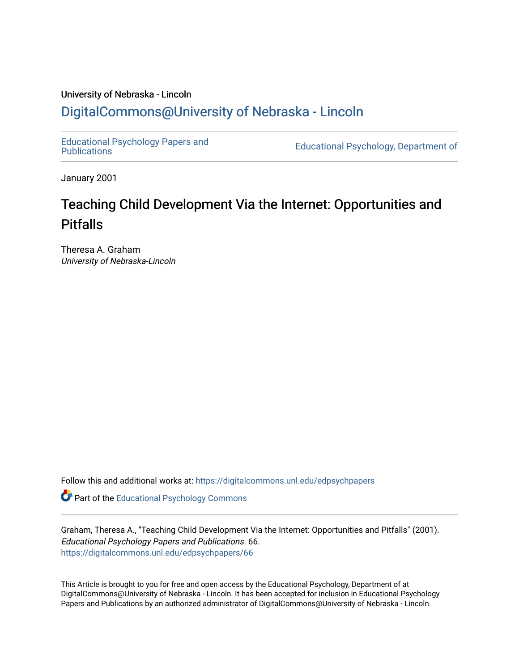### University of Nebraska - Lincoln [DigitalCommons@University of Nebraska - Lincoln](https://digitalcommons.unl.edu/)

[Educational Psychology Papers and](https://digitalcommons.unl.edu/edpsychpapers)

Educational Psychology, Department of

January 2001

## Teaching Child Development Via the Internet: Opportunities and Pitfalls

Theresa A. Graham University of Nebraska-Lincoln

Follow this and additional works at: [https://digitalcommons.unl.edu/edpsychpapers](https://digitalcommons.unl.edu/edpsychpapers?utm_source=digitalcommons.unl.edu%2Fedpsychpapers%2F66&utm_medium=PDF&utm_campaign=PDFCoverPages)

Part of the [Educational Psychology Commons](http://network.bepress.com/hgg/discipline/798?utm_source=digitalcommons.unl.edu%2Fedpsychpapers%2F66&utm_medium=PDF&utm_campaign=PDFCoverPages) 

Graham, Theresa A., "Teaching Child Development Via the Internet: Opportunities and Pitfalls" (2001). Educational Psychology Papers and Publications. 66. [https://digitalcommons.unl.edu/edpsychpapers/66](https://digitalcommons.unl.edu/edpsychpapers/66?utm_source=digitalcommons.unl.edu%2Fedpsychpapers%2F66&utm_medium=PDF&utm_campaign=PDFCoverPages) 

This Article is brought to you for free and open access by the Educational Psychology, Department of at DigitalCommons@University of Nebraska - Lincoln. It has been accepted for inclusion in Educational Psychology Papers and Publications by an authorized administrator of DigitalCommons@University of Nebraska - Lincoln.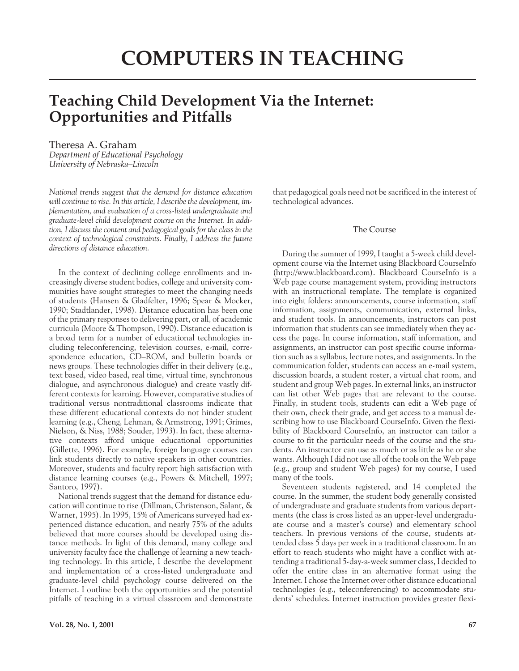# **COMPUTERS IN TEACHING**

## **Teaching Child Development Via the Internet: Opportunities and Pitfalls**

Theresa A. Graham

*Department of Educational Psychology University of Nebraska–Lincoln*

*National trends suggest that the demand for distance education will continue to rise. In this article, I describe the development, implementation, and evaluation of a cross-listed undergraduate and graduate-level child development course on the Internet. In addition, I discuss the content and pedagogical goals for the class in the context of technological constraints. Finally, I address the future directions of distance education.*

In the context of declining college enrollments and increasingly diverse student bodies, college and university communities have sought strategies to meet the changing needs of students (Hansen & Gladfelter, 1996; Spear & Mocker, 1990; Stadtlander, 1998). Distance education has been one of the primary responses to delivering part, or all, of academic curricula (Moore & Thompson, 1990). Distance education is a broad term for a number of educational technologies including teleconferencing, television courses, e-mail, correspondence education, CD–ROM, and bulletin boards or news groups. These technologies differ in their delivery (e.g., text based, video based, real time, virtual time, synchronous dialogue, and asynchronous dialogue) and create vastly different contexts for learning. However, comparative studies of traditional versus nontraditional classrooms indicate that these different educational contexts do not hinder student learning (e.g., Cheng, Lehman, & Armstrong, 1991; Grimes, Nielson, & Niss, 1988; Souder, 1993). In fact, these alternative contexts afford unique educational opportunities (Gillette, 1996). For example, foreign language courses can link students directly to native speakers in other countries. Moreover, students and faculty report high satisfaction with distance learning courses (e.g., Powers & Mitchell, 1997; Santoro, 1997).

National trends suggest that the demand for distance education will continue to rise (Dillman, Christenson, Salant, & Warner, 1995). In 1995, 15% of Americans surveyed had experienced distance education, and nearly 75% of the adults believed that more courses should be developed using distance methods. In light of this demand, many college and university faculty face the challenge of learning a new teaching technology. In this article, I describe the development and implementation of a cross-listed undergraduate and graduate-level child psychology course delivered on the Internet. I outline both the opportunities and the potential pitfalls of teaching in a virtual classroom and demonstrate

that pedagogical goals need not be sacrificed in the interest of technological advances.

#### The Course

During the summer of 1999, I taught a 5-week child development course via the Internet using Blackboard CourseInfo (http://www.blackboard.com). Blackboard CourseInfo is a Web page course management system, providing instructors with an instructional template. The template is organized into eight folders: announcements, course information, staff information, assignments, communication, external links, and student tools. In announcements, instructors can post information that students can see immediately when they access the page. In course information, staff information, and assignments, an instructor can post specific course information such as a syllabus, lecture notes, and assignments. In the communication folder, students can access an e-mail system, discussion boards, a student roster, a virtual chat room, and student and group Web pages. In external links, an instructor can list other Web pages that are relevant to the course. Finally, in student tools, students can edit a Web page of their own, check their grade, and get access to a manual describing how to use Blackboard CourseInfo. Given the flexibility of Blackboard CourseInfo, an instructor can tailor a course to fit the particular needs of the course and the students. An instructor can use as much or as little as he or she wants. Although I did not use all of the tools on the Web page (e.g., group and student Web pages) for my course, I used many of the tools.

Seventeen students registered, and 14 completed the course. In the summer, the student body generally consisted of undergraduate and graduate students from various departments (the class is cross listed as an upper-level undergraduate course and a master's course) and elementary school teachers. In previous versions of the course, students attended class 5 days per week in a traditional classroom. In an effort to reach students who might have a conflict with attending a traditional 5-day-a-week summer class, I decided to offer the entire class in an alternative format using the Internet. I chose the Internet over other distance educational technologies (e.g., teleconferencing) to accommodate students' schedules. Internet instruction provides greater flexi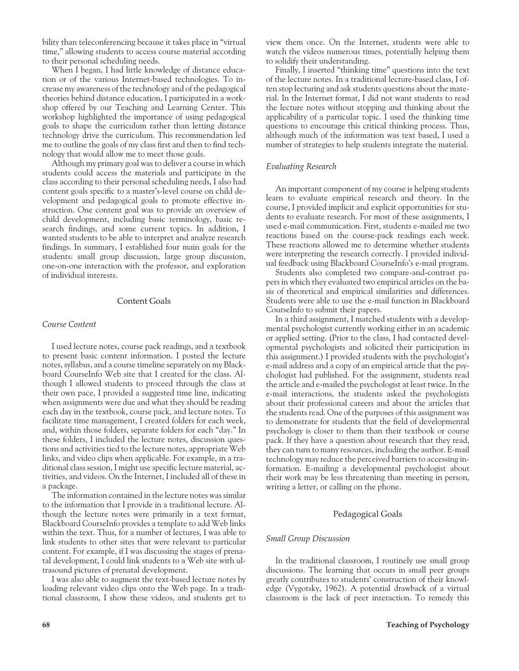bility than teleconferencing because it takes place in "virtual time," allowing students to access course material according to their personal scheduling needs.

When I began, I had little knowledge of distance education or of the various Internet-based technologies. To increase my awareness of the technology and of the pedagogical theories behind distance education, I participated in a workshop offered by our Teaching and Learning Center. This workshop highlighted the importance of using pedagogical goals to shape the curriculum rather than letting distance technology drive the curriculum. This recommendation led me to outline the goals of my class first and then to find technology that would allow me to meet those goals.

Although my primary goal was to deliver a course in which students could access the materials and participate in the class according to their personal scheduling needs, I also had content goals specific to a master's-level course on child development and pedagogical goals to promote effective instruction. One content goal was to provide an overview of child development, including basic terminology, basic research findings, and some current topics. In addition, I wanted students to be able to interpret and analyze research findings. In summary, I established four main goals for the students: small group discussion, large group discussion, one-on-one interaction with the professor, and exploration of individual interests.

#### Content Goals

#### *Course Content*

I used lecture notes, course pack readings, and a textbook to present basic content information. I posted the lecture notes, syllabus, and a course timeline separately on my Blackboard CourseInfo Web site that I created for the class. Although I allowed students to proceed through the class at their own pace, I provided a suggested time line, indicating when assignments were due and what they should be reading each day in the textbook, course pack, and lecture notes. To facilitate time management, I created folders for each week, and, within those folders, separate folders for each "day." In these folders, I included the lecture notes, discussion questions and activities tied to the lecture notes, appropriate Web links, and video clips when applicable. For example, in a traditional class session, I might use specific lecture material, activities, and videos. On the Internet, I included all of these in a package.

The information contained in the lecture notes was similar to the information that I provide in a traditional lecture. Although the lecture notes were primarily in a text format, Blackboard CourseInfo provides a template to add Web links within the text. Thus, for a number of lectures, I was able to link students to other sites that were relevant to particular content. For example, if I was discussing the stages of prenatal development, I could link students to a Web site with ultrasound pictures of prenatal development.

I was also able to augment the text-based lecture notes by loading relevant video clips onto the Web page. In a traditional classroom, I show these videos, and students get to

view them once. On the Internet, students were able to watch the videos numerous times, potentially helping them to solidify their understanding.

Finally, I inserted "thinking time" questions into the text of the lecture notes. In a traditional lecture-based class, I often stop lecturing and ask students questions about the material. In the Internet format, I did not want students to read the lecture notes without stopping and thinking about the applicability of a particular topic. I used the thinking time questions to encourage this critical thinking process. Thus, although much of the information was text based, I used a number of strategies to help students integrate the material.

#### *Evaluating Research*

An important component of my course is helping students learn to evaluate empirical research and theory. In the course, I provided implicit and explicit opportunities for students to evaluate research. For most of these assignments, I used e-mail communication. First, students e-mailed me two reactions based on the course-pack readings each week. These reactions allowed me to determine whether students were interpreting the research correctly. I provided individual feedback using Blackboard CourseInfo's e-mail program.

Students also completed two compare-and-contrast papers in which they evaluated two empirical articles on the basis of theoretical and empirical similarities and differences. Students were able to use the e-mail function in Blackboard CourseInfo to submit their papers.

In a third assignment, I matched students with a developmental psychologist currently working either in an academic or applied setting. (Prior to the class, I had contacted developmental psychologists and solicited their participation in this assignment.) I provided students with the psychologist's e-mail address and a copy of an empirical article that the psychologist had published. For the assignment, students read the article and e-mailed the psychologist at least twice. In the e-mail interactions, the students asked the psychologists about their professional careers and about the articles that the students read. One of the purposes of this assignment was to demonstrate for students that the field of developmental psychology is closer to them than their textbook or course pack. If they have a question about research that they read, they can turn to many resources, including the author. E-mail technology may reduce the perceived barriers to accessing information. E-mailing a developmental psychologist about their work may be less threatening than meeting in person, writing a letter, or calling on the phone.

#### Pedagogical Goals

#### *Small Group Discussion*

In the traditional classroom, I routinely use small group discussions. The learning that occurs in small peer groups greatly contributes to students' construction of their knowledge (Vygotsky, 1962). A potential drawback of a virtual classroom is the lack of peer interaction. To remedy this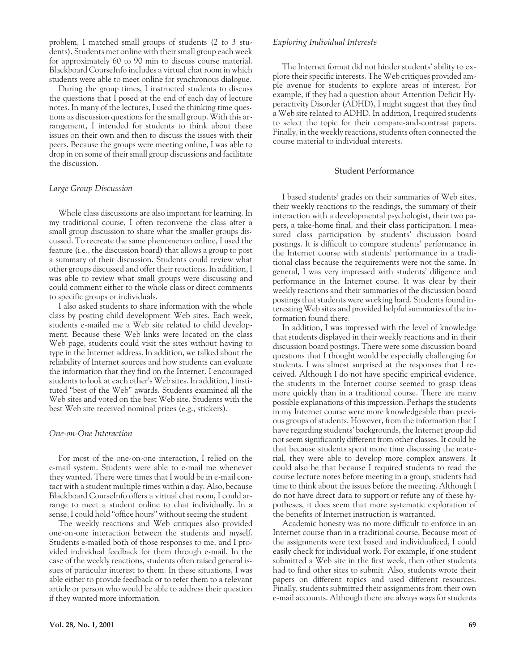problem, I matched small groups of students (2 to 3 students). Students met online with their small group each week for approximately 60 to 90 min to discuss course material. Blackboard CourseInfo includes a virtual chat room in which students were able to meet online for synchronous dialogue.

During the group times, I instructed students to discuss the questions that I posed at the end of each day of lecture notes. In many of the lectures, I used the thinking time questions as discussion questions for the small group. With this arrangement, I intended for students to think about these issues on their own and then to discuss the issues with their peers. Because the groups were meeting online, I was able to drop in on some of their small group discussions and facilitate the discussion.

#### *Large Group Discussion*

Whole class discussions are also important for learning. In my traditional course, I often reconvene the class after a small group discussion to share what the smaller groups discussed. To recreate the same phenomenon online, I used the feature (i.e., the discussion board) that allows a group to post a summary of their discussion. Students could review what other groups discussed and offer their reactions. In addition, I was able to review what small groups were discussing and could comment either to the whole class or direct comments to specific groups or individuals.

I also asked students to share information with the whole class by posting child development Web sites. Each week, students e-mailed me a Web site related to child development. Because these Web links were located on the class Web page, students could visit the sites without having to type in the Internet address. In addition, we talked about the reliability of Internet sources and how students can evaluate the information that they find on the Internet. I encouraged students to look at each other's Web sites. In addition, I instituted "best of the Web" awards. Students examined all the Web sites and voted on the best Web site. Students with the best Web site received nominal prizes (e.g., stickers).

#### *One-on-One Interaction*

For most of the one-on-one interaction, I relied on the e-mail system. Students were able to e-mail me whenever they wanted. There were times that I would be in e-mail contact with a student multiple times within a day. Also, because Blackboard CourseInfo offers a virtual chat room, I could arrange to meet a student online to chat individually. In a sense, I could hold "office hours" without seeing the student.

The weekly reactions and Web critiques also provided one-on-one interaction between the students and myself. Students e-mailed both of those responses to me, and I provided individual feedback for them through e-mail. In the case of the weekly reactions, students often raised general issues of particular interest to them. In these situations, I was able either to provide feedback or to refer them to a relevant article or person who would be able to address their question if they wanted more information.

#### *Exploring Individual Interests*

The Internet format did not hinder students' ability to explore their specific interests. The Web critiques provided ample avenue for students to explore areas of interest. For example, if they had a question about Attention Deficit Hyperactivity Disorder (ADHD), I might suggest that they find a Web site related to ADHD. In addition, I required students to select the topic for their compare-and-contrast papers. Finally, in the weekly reactions, students often connected the course material to individual interests.

#### Student Performance

I based students' grades on their summaries of Web sites, their weekly reactions to the readings, the summary of their interaction with a developmental psychologist, their two papers, a take-home final, and their class participation. I measured class participation by students' discussion board postings. It is difficult to compare students' performance in the Internet course with students' performance in a traditional class because the requirements were not the same. In general, I was very impressed with students' diligence and performance in the Internet course. It was clear by their weekly reactions and their summaries of the discussion board postings that students were working hard. Students found interesting Web sites and provided helpful summaries of the information found there.

In addition, I was impressed with the level of knowledge that students displayed in their weekly reactions and in their discussion board postings. There were some discussion board questions that I thought would be especially challenging for students. I was almost surprised at the responses that I received. Although I do not have specific empirical evidence, the students in the Internet course seemed to grasp ideas more quickly than in a traditional course. There are many possible explanations of this impression. Perhaps the students in my Internet course were more knowledgeable than previous groups of students. However, from the information that I have regarding students' backgrounds, the Internet group did not seem significantly different from other classes. It could be that because students spent more time discussing the material, they were able to develop more complex answers. It could also be that because I required students to read the course lecture notes before meeting in a group, students had time to think about the issues before the meeting. Although I do not have direct data to support or refute any of these hypotheses, it does seem that more systematic exploration of the benefits of Internet instruction is warranted.

Academic honesty was no more difficult to enforce in an Internet course than in a traditional course. Because most of the assignments were text based and individualized, I could easily check for individual work. For example, if one student submitted a Web site in the first week, then other students had to find other sites to submit. Also, students wrote their papers on different topics and used different resources. Finally, students submitted their assignments from their own e-mail accounts. Although there are always ways for students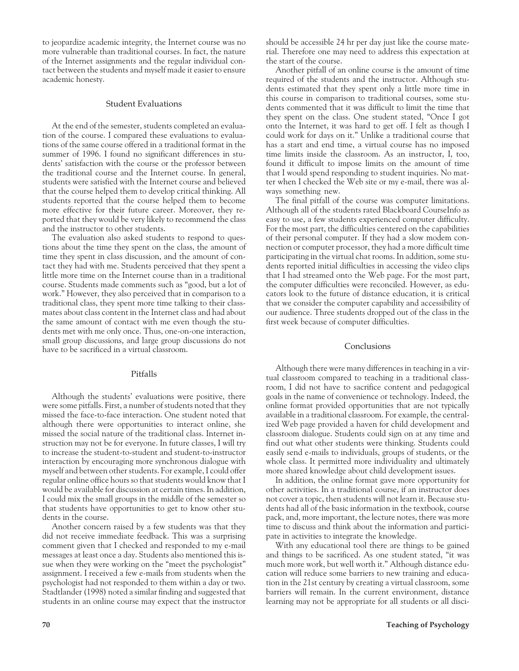to jeopardize academic integrity, the Internet course was no more vulnerable than traditional courses. In fact, the nature of the Internet assignments and the regular individual contact between the students and myself made it easier to ensure academic honesty.

#### Student Evaluations

At the end of the semester, students completed an evaluation of the course. I compared these evaluations to evaluations of the same course offered in a traditional format in the summer of 1996. I found no significant differences in students' satisfaction with the course or the professor between the traditional course and the Internet course. In general, students were satisfied with the Internet course and believed that the course helped them to develop critical thinking. All students reported that the course helped them to become more effective for their future career. Moreover, they reported that they would be very likely to recommend the class and the instructor to other students.

The evaluation also asked students to respond to questions about the time they spent on the class, the amount of time they spent in class discussion, and the amount of contact they had with me. Students perceived that they spent a little more time on the Internet course than in a traditional course. Students made comments such as "good, but a lot of work." However, they also perceived that in comparison to a traditional class, they spent more time talking to their classmates about class content in the Internet class and had about the same amount of contact with me even though the students met with me only once. Thus, one-on-one interaction, small group discussions, and large group discussions do not have to be sacrificed in a virtual classroom.

#### Pitfalls

Although the students' evaluations were positive, there were some pitfalls. First, a number of students noted that they missed the face-to-face interaction. One student noted that although there were opportunities to interact online, she missed the social nature of the traditional class. Internet instruction may not be for everyone. In future classes, I will try to increase the student-to-student and student-to-instructor interaction by encouraging more synchronous dialogue with myself and between other students. For example, I could offer regular online office hours so that students would know that I would be available for discussion at certain times. In addition, I could mix the small groups in the middle of the semester so that students have opportunities to get to know other students in the course.

Another concern raised by a few students was that they did not receive immediate feedback. This was a surprising comment given that I checked and responded to my e-mail messages at least once a day. Students also mentioned this issue when they were working on the "meet the psychologist" assignment. I received a few e-mails from students when the psychologist had not responded to them within a day or two. Stadtlander (1998) noted a similar finding and suggested that students in an online course may expect that the instructor should be accessible 24 hr per day just like the course material. Therefore one may need to address this expectation at the start of the course.

Another pitfall of an online course is the amount of time required of the students and the instructor. Although students estimated that they spent only a little more time in this course in comparison to traditional courses, some students commented that it was difficult to limit the time that they spent on the class. One student stated, "Once I got onto the Internet, it was hard to get off. I felt as though I could work for days on it." Unlike a traditional course that has a start and end time, a virtual course has no imposed time limits inside the classroom. As an instructor, I, too, found it difficult to impose limits on the amount of time that I would spend responding to student inquiries. No matter when I checked the Web site or my e-mail, there was always something new.

The final pitfall of the course was computer limitations. Although all of the students rated Blackboard CourseInfo as easy to use, a few students experienced computer difficulty. For the most part, the difficulties centered on the capabilities of their personal computer. If they had a slow modem connection or computer processor, they had a more difficult time participating in the virtual chat rooms. In addition, some students reported initial difficulties in accessing the video clips that I had streamed onto the Web page. For the most part, the computer difficulties were reconciled. However, as educators look to the future of distance education, it is critical that we consider the computer capability and accessibility of our audience. Three students dropped out of the class in the first week because of computer difficulties.

#### Conclusions

Although there were many differences in teaching in a virtual classroom compared to teaching in a traditional classroom, I did not have to sacrifice content and pedagogical goals in the name of convenience or technology. Indeed, the online format provided opportunities that are not typically available in a traditional classroom. For example, the centralized Web page provided a haven for child development and classroom dialogue. Students could sign on at any time and find out what other students were thinking. Students could easily send e-mails to individuals, groups of students, or the whole class. It permitted more individuality and ultimately more shared knowledge about child development issues.

In addition, the online format gave more opportunity for other activities. In a traditional course, if an instructor does not cover a topic, then students will not learn it. Because students had all of the basic information in the textbook, course pack, and, more important, the lecture notes, there was more time to discuss and think about the information and participate in activities to integrate the knowledge.

With any educational tool there are things to be gained and things to be sacrificed. As one student stated, "it was much more work, but well worth it." Although distance education will reduce some barriers to new training and education in the 21st century by creating a virtual classroom, some barriers will remain. In the current environment, distance learning may not be appropriate for all students or all disci